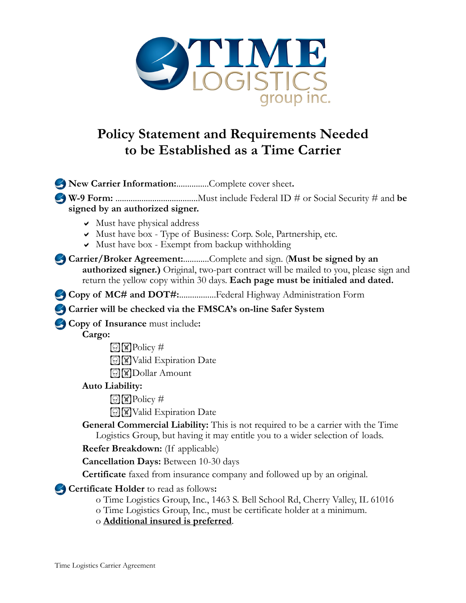

## **Policy Statement and Requirements Needed to be Established as a Time Carrier**

**New Carrier Information:**...............Complete cover sheet**. W-9 Form:** ......................................Must include Federal ID # or Social Security # and **be signed by an authorized signer.**  $\vee$  Must have physical address Must have box - Type of Business: Corp. Sole, Partnership, etc.  $\vee$  Must have box - Exempt from backup withholding **Carrier/Broker Agreement:**............Complete and sign. (**Must be signed by an authorized signer.)** Original, two-part contract will be mailed to you, please sign and return the yellow copy within 30 days. **Each page must be initialed and dated. Copy of MC# and DOT#:..................Federal Highway Administration Form Carrier will be checked via the FMSCA's on-line Safer System Copy of Insurance** must include**: Cargo:**   $\boxed{\odot}$   $\boxed{\mathbb{W}}$  Policy # **INValid Expiration Date Dollar Amount Auto Liability:**   $\boxed{\odot}$   $\boxed{\mathbf{W}}$  Policy # **I'M** Valid Expiration Date **General Commercial Liability:** This is not required to be a carrier with the Time Logistics Group, but having it may entitle you to a wider selection of loads. **Reefer Breakdown:** (If applicable) **Cancellation Days:** Between 10-30 days **Certificate** faxed from insurance company and followed up by an original. **Certificate Holder** to read as follows**:**  o Time Logistics Group, Inc., 1463 S. Bell School Rd, Cherry Valley, IL 61016

- o Time Logistics Group, Inc., must be certificate holder at a minimum.
- o **Additional insured is preferred**.